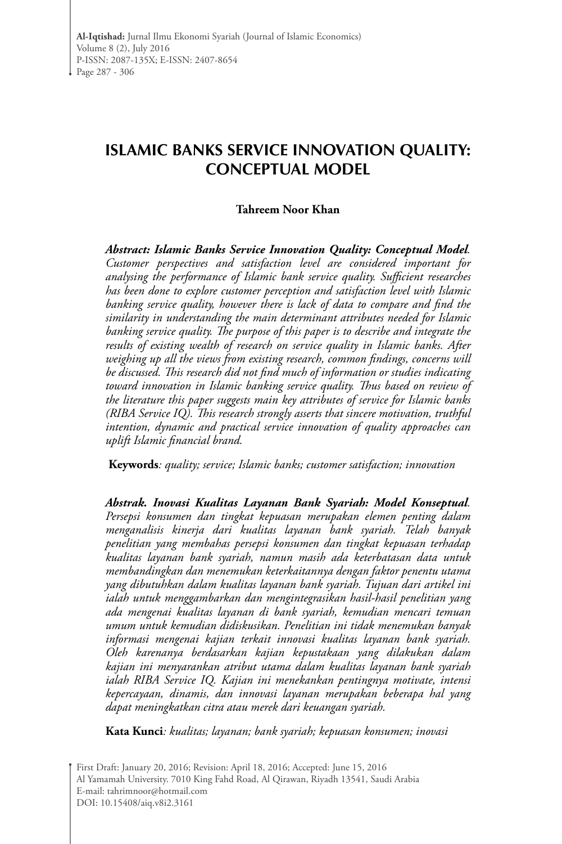# **Islamic banks Service Innovation Quality: conceptual model**

#### **Tahreem Noor Khan**

*Abstract: Islamic Banks Service Innovation Quality: Conceptual Model. Customer perspectives and satisfaction level are considered important for analysing the performance of Islamic bank service quality. Sufficient researches has been done to explore customer perception and satisfaction level with Islamic banking service quality, however there is lack of data to compare and find the similarity in understanding the main determinant attributes needed for Islamic banking service quality. The purpose of this paper is to describe and integrate the results of existing wealth of research on service quality in Islamic banks. After weighing up all the views from existing research, common findings, concerns will be discussed. This research did not find much of information or studies indicating toward innovation in Islamic banking service quality. Thus based on review of the literature this paper suggests main key attributes of service for Islamic banks (RIBA Service IQ). This research strongly asserts that sincere motivation, truthful intention, dynamic and practical service innovation of quality approaches can uplift Islamic financial brand.*

**Keywords***: quality; service; Islamic banks; customer satisfaction; innovation*

*Abstrak. Inovasi Kualitas Layanan Bank Syariah: Model Konseptual. Persepsi konsumen dan tingkat kepuasan merupakan elemen penting dalam menganalisis kinerja dari kualitas layanan bank syariah. Telah banyak penelitian yang membahas persepsi konsumen dan tingkat kepuasan terhadap kualitas layanan bank syariah, namun masih ada keterbatasan data untuk membandingkan dan menemukan keterkaitannya dengan faktor penentu utama yang dibutuhkan dalam kualitas layanan bank syariah. Tujuan dari artikel ini ialah untuk menggambarkan dan mengintegrasikan hasil-hasil penelitian yang ada mengenai kualitas layanan di bank syariah, kemudian mencari temuan umum untuk kemudian didiskusikan. Penelitian ini tidak menemukan banyak informasi mengenai kajian terkait innovasi kualitas layanan bank syariah. Oleh karenanya berdasarkan kajian kepustakaan yang dilakukan dalam kajian ini menyarankan atribut utama dalam kualitas layanan bank syariah ialah RIBA Service IQ. Kajian ini menekankan pentingnya motivate, intensi kepercayaan, dinamis, dan innovasi layanan merupakan beberapa hal yang dapat meningkatkan citra atau merek dari keuangan syariah.*

**Kata Kunci***: kualitas; layanan; bank syariah; kepuasan konsumen; inovasi*

First Draft: January 20, 2016; Revision: April 18, 2016; Accepted: June 15, 2016 Al Yamamah University. 7010 King Fahd Road, Al Qirawan, Riyadh 13541, Saudi Arabia E-mail: tahrimnoor@hotmail.com DOI: 10.15408/aiq.v8i2.3161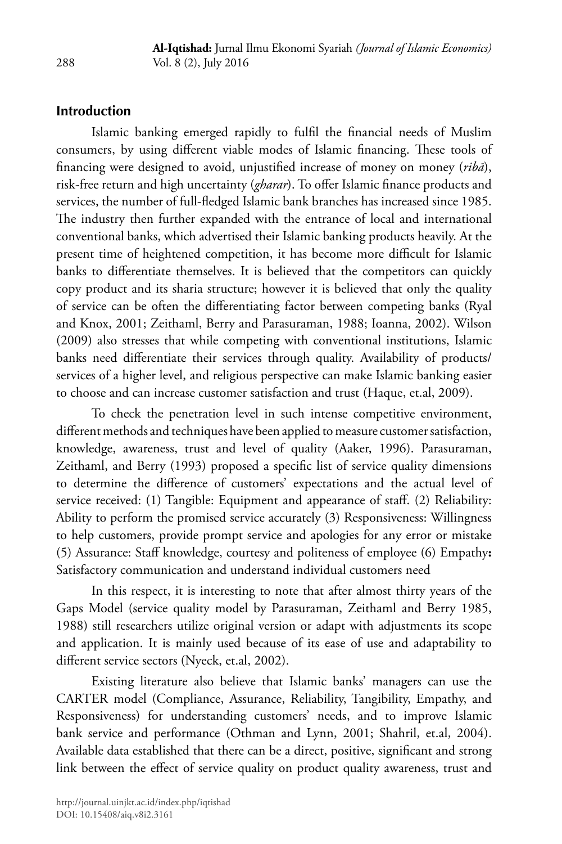# **Introduction**

Islamic banking emerged rapidly to fulfil the financial needs of Muslim consumers, by using different viable modes of Islamic financing. These tools of financing were designed to avoid, unjustified increase of money on money (*ribā*), risk-free return and high uncertainty (*gharar*). To offer Islamic finance products and services, the number of full-fledged Islamic bank branches has increased since 1985. The industry then further expanded with the entrance of local and international conventional banks, which advertised their Islamic banking products heavily. At the present time of heightened competition, it has become more difficult for Islamic banks to differentiate themselves. It is believed that the competitors can quickly copy product and its sharia structure; however it is believed that only the quality of service can be often the differentiating factor between competing banks (Ryal and Knox, 2001; Zeithaml, Berry and Parasuraman, 1988; Ioanna, 2002). Wilson (2009) also stresses that while competing with conventional institutions, Islamic banks need differentiate their services through quality. Availability of products/ services of a higher level, and religious perspective can make Islamic banking easier to choose and can increase customer satisfaction and trust (Haque, et.al, 2009).

To check the penetration level in such intense competitive environment, different methods and techniques have been applied to measure customer satisfaction, knowledge, awareness, trust and level of quality (Aaker, 1996). Parasuraman, Zeithaml, and Berry (1993) proposed a specific list of service quality dimensions to determine the difference of customers' expectations and the actual level of service received: (1) Tangible: Equipment and appearance of staff. (2) Reliability: Ability to perform the promised service accurately (3) Responsiveness: Willingness to help customers, provide prompt service and apologies for any error or mistake (5) Assurance: Staff knowledge, courtesy and politeness of employee (6) Empathy**:** Satisfactory communication and understand individual customers need

In this respect, it is interesting to note that after almost thirty years of the Gaps Model (service quality model by Parasuraman, Zeithaml and Berry 1985, 1988) still researchers utilize original version or adapt with adjustments its scope and application. It is mainly used because of its ease of use and adaptability to different service sectors (Nyeck, et.al, 2002).

Existing literature also believe that Islamic banks' managers can use the CARTER model (Compliance, Assurance, Reliability, Tangibility, Empathy, and Responsiveness) for understanding customers' needs, and to improve Islamic bank service and performance (Othman and Lynn, 2001; Shahril, et.al, 2004). Available data established that there can be a direct, positive, significant and strong link between the effect of service quality on product quality awareness, trust and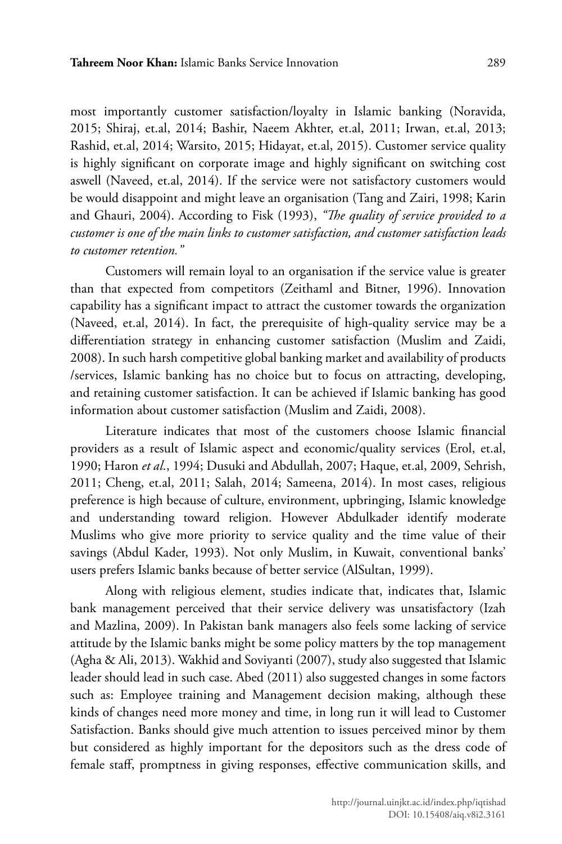most importantly customer satisfaction/loyalty in Islamic banking (Noravida, 2015; Shiraj, et.al, 2014; Bashir, Naeem Akhter, et.al, 2011; Irwan, et.al, 2013; Rashid, et.al, 2014; Warsito, 2015; Hidayat, et.al, 2015). Customer service quality is highly significant on corporate image and highly significant on switching cost aswell (Naveed, et.al, 2014). If the service were not satisfactory customers would be would disappoint and might leave an organisation (Tang and Zairi, 1998; Karin and Ghauri, 2004). According to Fisk (1993), *"The quality of service provided to a customer is one of the main links to customer satisfaction, and customer satisfaction leads to customer retention."*

Customers will remain loyal to an organisation if the service value is greater than that expected from competitors (Zeithaml and Bitner, 1996). Innovation capability has a significant impact to attract the customer towards the organization (Naveed, et.al, 2014). In fact, the prerequisite of high-quality service may be a differentiation strategy in enhancing customer satisfaction (Muslim and Zaidi, 2008). In such harsh competitive global banking market and availability of products /services, Islamic banking has no choice but to focus on attracting, developing, and retaining customer satisfaction. It can be achieved if Islamic banking has good information about customer satisfaction (Muslim and Zaidi, 2008).

Literature indicates that most of the customers choose Islamic financial providers as a result of Islamic aspect and economic/quality services (Erol, et.al, 1990; Haron *et al*., 1994; Dusuki and Abdullah, 2007; Haque, et.al, 2009, Sehrish, 2011; Cheng, et.al, 2011; Salah, 2014; Sameena, 2014). In most cases, religious preference is high because of culture, environment, upbringing, Islamic knowledge and understanding toward religion. However Abdulkader identify moderate Muslims who give more priority to service quality and the time value of their savings (Abdul Kader, 1993). Not only Muslim, in Kuwait, conventional banks' users prefers Islamic banks because of better service (AlSultan, 1999).

Along with religious element, studies indicate that, indicates that, Islamic bank management perceived that their service delivery was unsatisfactory (Izah and Mazlina, 2009). In Pakistan bank managers also feels some lacking of service attitude by the Islamic banks might be some policy matters by the top management (Agha & Ali, 2013). Wakhid and Soviyanti (2007), study also suggested that Islamic leader should lead in such case. Abed (2011) also suggested changes in some factors such as: Employee training and Management decision making, although these kinds of changes need more money and time, in long run it will lead to Customer Satisfaction. Banks should give much attention to issues perceived minor by them but considered as highly important for the depositors such as the dress code of female staff, promptness in giving responses, effective communication skills, and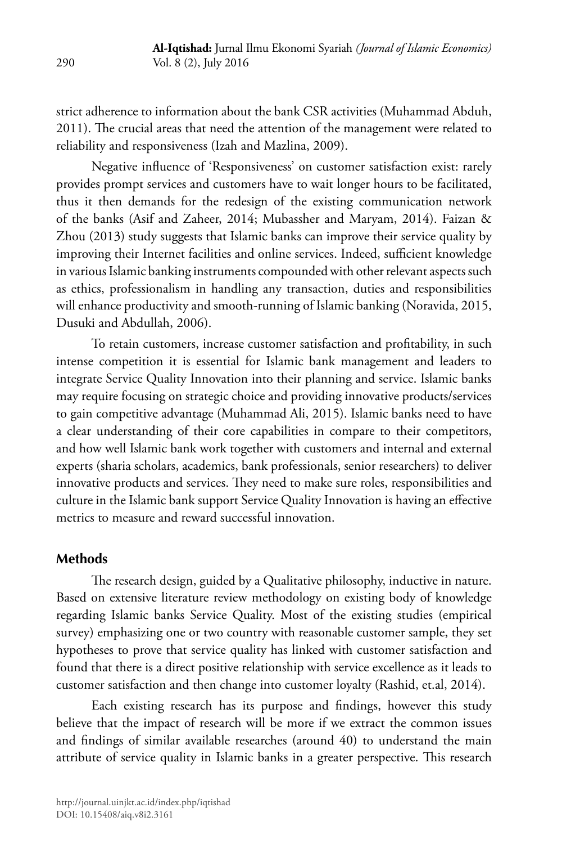strict adherence to information about the bank CSR activities (Muhammad Abduh, 2011). The crucial areas that need the attention of the management were related to reliability and responsiveness (Izah and Mazlina, 2009).

Negative influence of 'Responsiveness' on customer satisfaction exist: rarely provides prompt services and customers have to wait longer hours to be facilitated, thus it then demands for the redesign of the existing communication network of the banks (Asif and Zaheer, 2014; Mubassher and Maryam, 2014). Faizan & Zhou (2013) study suggests that Islamic banks can improve their service quality by improving their Internet facilities and online services. Indeed, sufficient knowledge in various Islamic banking instruments compounded with other relevant aspects such as ethics, professionalism in handling any transaction, duties and responsibilities will enhance productivity and smooth-running of Islamic banking (Noravida, 2015, Dusuki and Abdullah, 2006).

To retain customers, increase customer satisfaction and profitability, in such intense competition it is essential for Islamic bank management and leaders to integrate Service Quality Innovation into their planning and service. Islamic banks may require focusing on strategic choice and providing innovative products/services to gain competitive advantage (Muhammad Ali, 2015). Islamic banks need to have a clear understanding of their core capabilities in compare to their competitors, and how well Islamic bank work together with customers and internal and external experts (sharia scholars, academics, bank professionals, senior researchers) to deliver innovative products and services. They need to make sure roles, responsibilities and culture in the Islamic bank support Service Quality Innovation is having an effective metrics to measure and reward successful innovation.

### **Methods**

The research design, guided by a Qualitative philosophy, inductive in nature. Based on extensive literature review methodology on existing body of knowledge regarding Islamic banks Service Quality. Most of the existing studies (empirical survey) emphasizing one or two country with reasonable customer sample, they set hypotheses to prove that service quality has linked with customer satisfaction and found that there is a direct positive relationship with service excellence as it leads to customer satisfaction and then change into customer loyalty (Rashid, et.al, 2014).

Each existing research has its purpose and findings, however this study believe that the impact of research will be more if we extract the common issues and findings of similar available researches (around 40) to understand the main attribute of service quality in Islamic banks in a greater perspective. This research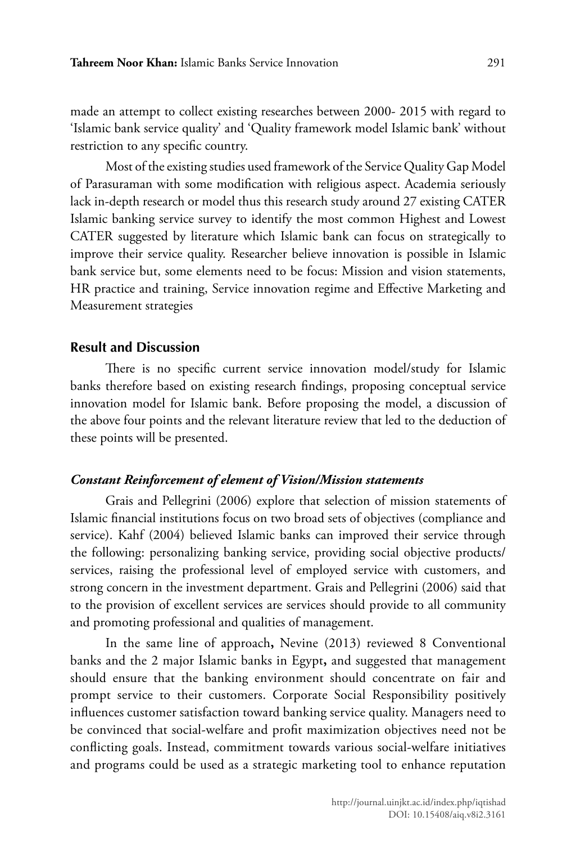made an attempt to collect existing researches between 2000- 2015 with regard to 'Islamic bank service quality' and 'Quality framework model Islamic bank' without restriction to any specific country.

Most of the existing studies used framework of the Service Quality Gap Model of Parasuraman with some modification with religious aspect. Academia seriously lack in-depth research or model thus this research study around 27 existing CATER Islamic banking service survey to identify the most common Highest and Lowest CATER suggested by literature which Islamic bank can focus on strategically to improve their service quality. Researcher believe innovation is possible in Islamic bank service but, some elements need to be focus: Mission and vision statements, HR practice and training, Service innovation regime and Effective Marketing and Measurement strategies

### **Result and Discussion**

There is no specific current service innovation model/study for Islamic banks therefore based on existing research findings, proposing conceptual service innovation model for Islamic bank. Before proposing the model, a discussion of the above four points and the relevant literature review that led to the deduction of these points will be presented.

#### *Constant Reinforcement of element of Vision/Mission statements*

Grais and Pellegrini (2006) explore that selection of mission statements of Islamic financial institutions focus on two broad sets of objectives (compliance and service). Kahf (2004) believed Islamic banks can improved their service through the following: personalizing banking service, providing social objective products/ services, raising the professional level of employed service with customers, and strong concern in the investment department. Grais and Pellegrini (2006) said that to the provision of excellent services are services should provide to all community and promoting professional and qualities of management.

In the same line of approach**,** Nevine (2013) reviewed 8 Conventional banks and the 2 major Islamic banks in Egypt**,** and suggested that management should ensure that the banking environment should concentrate on fair and prompt service to their customers. Corporate Social Responsibility positively influences customer satisfaction toward banking service quality. Managers need to be convinced that social-welfare and profit maximization objectives need not be conflicting goals. Instead, commitment towards various social-welfare initiatives and programs could be used as a strategic marketing tool to enhance reputation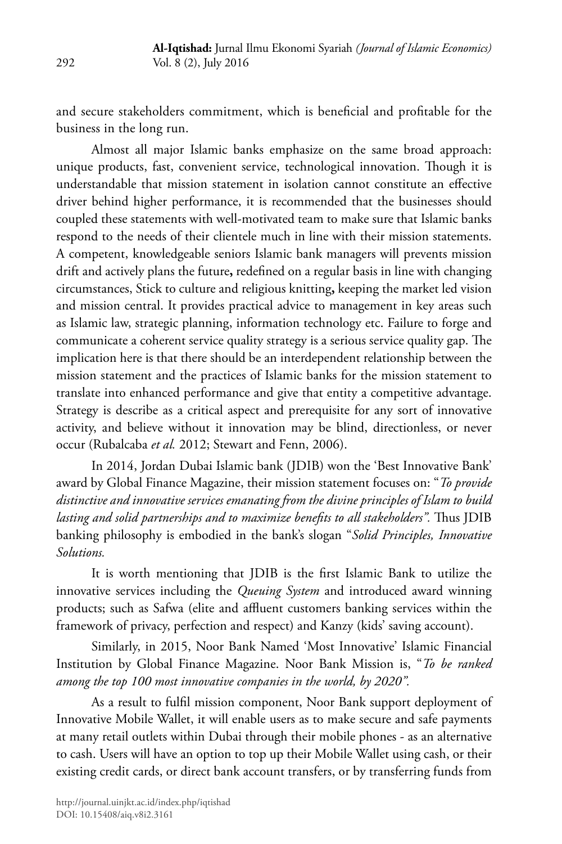and secure stakeholders commitment, which is beneficial and profitable for the business in the long run.

Almost all major Islamic banks emphasize on the same broad approach: unique products, fast, convenient service, technological innovation. Though it is understandable that mission statement in isolation cannot constitute an effective driver behind higher performance, it is recommended that the businesses should coupled these statements with well-motivated team to make sure that Islamic banks respond to the needs of their clientele much in line with their mission statements. A competent, knowledgeable seniors Islamic bank managers will prevents mission drift and actively plans the future**,** redefined on a regular basis in line with changing circumstances, Stick to culture and religious knitting**,** keeping the market led vision and mission central. It provides practical advice to management in key areas such as Islamic law, strategic planning, information technology etc. Failure to forge and communicate a coherent service quality strategy is a serious service quality gap. The implication here is that there should be an interdependent relationship between the mission statement and the practices of Islamic banks for the mission statement to translate into enhanced performance and give that entity a competitive advantage. Strategy is describe as a critical aspect and prerequisite for any sort of innovative activity, and believe without it innovation may be blind, directionless, or never occur (Rubalcaba *et al.* 2012; Stewart and Fenn, 2006).

In 2014, Jordan Dubai Islamic bank (JDIB) won the 'Best Innovative Bank' award by Global Finance Magazine, their mission statement focuses on: "*To provide distinctive and innovative services emanating from the divine principles of Islam to build lasting and solid partnerships and to maximize benefits to all stakeholders".* Thus JDIB banking philosophy is embodied in the bank's slogan "*Solid Principles, Innovative Solutions.* 

It is worth mentioning that JDIB is the first Islamic Bank to utilize the innovative services including the *Queuing System* and introduced award winning products; such as Safwa (elite and affluent customers banking services within the framework of privacy, perfection and respect) and Kanzy (kids' saving account).

Similarly, in 2015, Noor Bank Named 'Most Innovative' Islamic Financial Institution by Global Finance Magazine. Noor Bank Mission is, "*To be ranked among the top 100 most innovative companies in the world, by 2020".*

As a result to fulfil mission component, Noor Bank support deployment of Innovative Mobile Wallet, it will enable users as to make secure and safe payments at many retail outlets within Dubai through their mobile phones - as an alternative to cash. Users will have an option to top up their Mobile Wallet using cash, or their existing credit cards, or direct bank account transfers, or by transferring funds from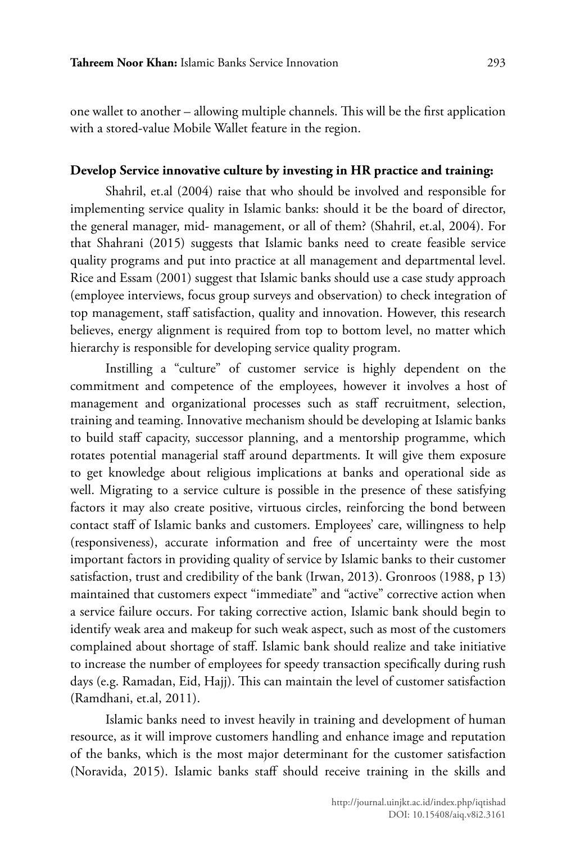one wallet to another – allowing multiple channels. This will be the first application with a stored-value Mobile Wallet feature in the region.

### **Develop Service innovative culture by investing in HR practice and training:**

Shahril, et.al (2004) raise that who should be involved and responsible for implementing service quality in Islamic banks: should it be the board of director, the general manager, mid- management, or all of them? (Shahril, et.al, 2004). For that Shahrani (2015) suggests that Islamic banks need to create feasible service quality programs and put into practice at all management and departmental level. Rice and Essam (2001) suggest that Islamic banks should use a case study approach (employee interviews, focus group surveys and observation) to check integration of top management, staff satisfaction, quality and innovation. However, this research believes, energy alignment is required from top to bottom level, no matter which hierarchy is responsible for developing service quality program.

Instilling a "culture" of customer service is highly dependent on the commitment and competence of the employees, however it involves a host of management and organizational processes such as staff recruitment, selection, training and teaming. Innovative mechanism should be developing at Islamic banks to build staff capacity, successor planning, and a mentorship programme, which rotates potential managerial staff around departments. It will give them exposure to get knowledge about religious implications at banks and operational side as well. Migrating to a service culture is possible in the presence of these satisfying factors it may also create positive, virtuous circles, reinforcing the bond between contact staff of Islamic banks and customers. Employees' care, willingness to help (responsiveness), accurate information and free of uncertainty were the most important factors in providing quality of service by Islamic banks to their customer satisfaction, trust and credibility of the bank (Irwan, 2013). Gronroos (1988, p 13) maintained that customers expect "immediate" and "active" corrective action when a service failure occurs. For taking corrective action, Islamic bank should begin to identify weak area and makeup for such weak aspect, such as most of the customers complained about shortage of staff. Islamic bank should realize and take initiative to increase the number of employees for speedy transaction specifically during rush days (e.g. Ramadan, Eid, Hajj). This can maintain the level of customer satisfaction (Ramdhani, et.al, 2011).

Islamic banks need to invest heavily in training and development of human resource, as it will improve customers handling and enhance image and reputation of the banks, which is the most major determinant for the customer satisfaction (Noravida, 2015). Islamic banks staff should receive training in the skills and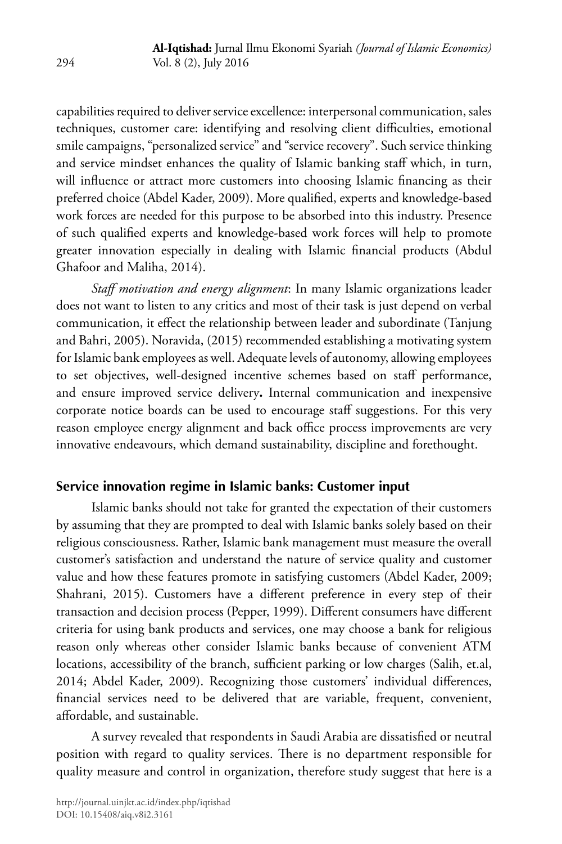capabilities required to deliver service excellence: interpersonal communication, sales techniques, customer care: identifying and resolving client difficulties, emotional smile campaigns, "personalized service" and "service recovery". Such service thinking and service mindset enhances the quality of Islamic banking staff which, in turn, will influence or attract more customers into choosing Islamic financing as their preferred choice (Abdel Kader, 2009). More qualified, experts and knowledge-based work forces are needed for this purpose to be absorbed into this industry. Presence of such qualified experts and knowledge-based work forces will help to promote greater innovation especially in dealing with Islamic financial products (Abdul Ghafoor and Maliha, 2014).

*Staff motivation and energy alignment*: In many Islamic organizations leader does not want to listen to any critics and most of their task is just depend on verbal communication, it effect the relationship between leader and subordinate (Tanjung and Bahri, 2005). Noravida, (2015) recommended establishing a motivating system for Islamic bank employees as well. Adequate levels of autonomy, allowing employees to set objectives, well-designed incentive schemes based on staff performance, and ensure improved service delivery**.** Internal communication and inexpensive corporate notice boards can be used to encourage staff suggestions. For this very reason employee energy alignment and back office process improvements are very innovative endeavours, which demand sustainability, discipline and forethought.

# **Service innovation regime in Islamic banks: Customer input**

Islamic banks should not take for granted the expectation of their customers by assuming that they are prompted to deal with Islamic banks solely based on their religious consciousness. Rather, Islamic bank management must measure the overall customer's satisfaction and understand the nature of service quality and customer value and how these features promote in satisfying customers (Abdel Kader, 2009; Shahrani, 2015). Customers have a different preference in every step of their transaction and decision process (Pepper, 1999). Different consumers have different criteria for using bank products and services, one may choose a bank for religious reason only whereas other consider Islamic banks because of convenient ATM locations, accessibility of the branch, sufficient parking or low charges (Salih, et.al, 2014; Abdel Kader, 2009). Recognizing those customers' individual differences, financial services need to be delivered that are variable, frequent, convenient, affordable, and sustainable.

A survey revealed that respondents in Saudi Arabia are dissatisfied or neutral position with regard to quality services. There is no department responsible for quality measure and control in organization, therefore study suggest that here is a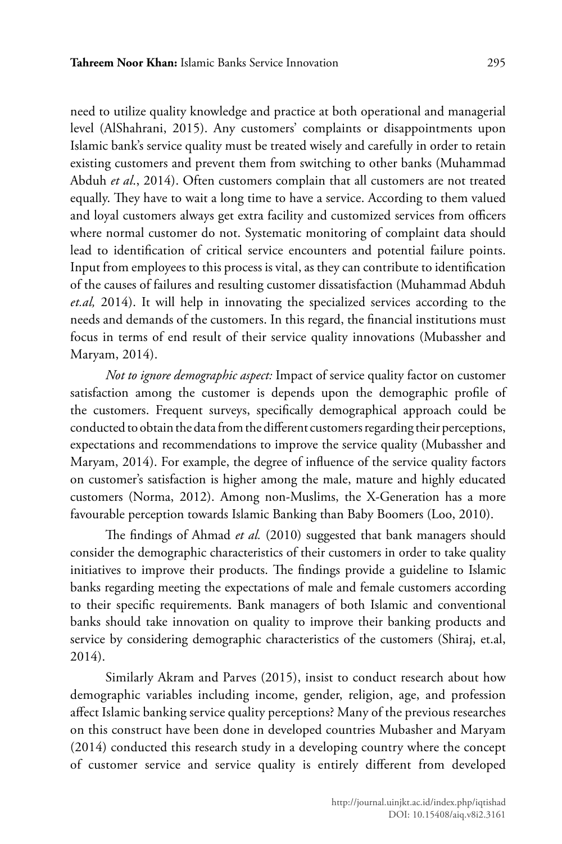need to utilize quality knowledge and practice at both operational and managerial level (AlShahrani, 2015). Any customers' complaints or disappointments upon Islamic bank's service quality must be treated wisely and carefully in order to retain existing customers and prevent them from switching to other banks (Muhammad Abduh *et al*., 2014). Often customers complain that all customers are not treated equally. They have to wait a long time to have a service. According to them valued and loyal customers always get extra facility and customized services from officers where normal customer do not. Systematic monitoring of complaint data should lead to identification of critical service encounters and potential failure points. Input from employees to this process is vital, as they can contribute to identification of the causes of failures and resulting customer dissatisfaction (Muhammad Abduh *et.al,* 2014). It will help in innovating the specialized services according to the needs and demands of the customers. In this regard, the financial institutions must focus in terms of end result of their service quality innovations (Mubassher and Maryam, 2014).

*Not to ignore demographic aspect:* Impact of service quality factor on customer satisfaction among the customer is depends upon the demographic profile of the customers. Frequent surveys, specifically demographical approach could be conducted to obtain the data from the different customers regarding their perceptions, expectations and recommendations to improve the service quality (Mubassher and Maryam, 2014). For example, the degree of influence of the service quality factors on customer's satisfaction is higher among the male, mature and highly educated customers (Norma, 2012). Among non-Muslims, the X-Generation has a more favourable perception towards Islamic Banking than Baby Boomers (Loo, 2010).

The findings of Ahmad *et al.* (2010) suggested that bank managers should consider the demographic characteristics of their customers in order to take quality initiatives to improve their products. The findings provide a guideline to Islamic banks regarding meeting the expectations of male and female customers according to their specific requirements. Bank managers of both Islamic and conventional banks should take innovation on quality to improve their banking products and service by considering demographic characteristics of the customers (Shiraj, et.al, 2014).

Similarly Akram and Parves (2015), insist to conduct research about how demographic variables including income, gender, religion, age, and profession affect Islamic banking service quality perceptions? Many of the previous researches on this construct have been done in developed countries Mubasher and Maryam (2014) conducted this research study in a developing country where the concept of customer service and service quality is entirely different from developed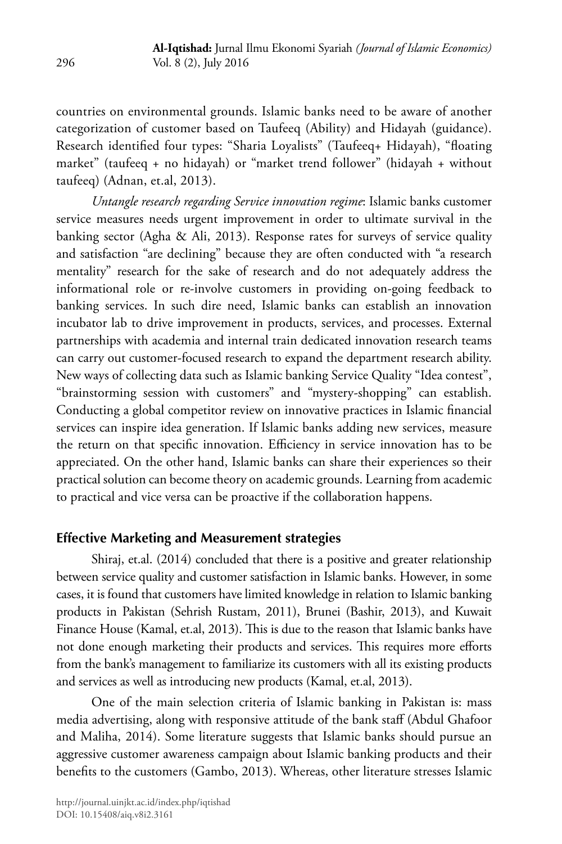countries on environmental grounds. Islamic banks need to be aware of another categorization of customer based on Taufeeq (Ability) and Hidayah (guidance). Research identified four types: "Sharia Loyalists" (Taufeeq+ Hidayah), "floating market" (taufeeq + no hidayah) or "market trend follower" (hidayah + without taufeeq) (Adnan, et.al, 2013).

*Untangle research regarding Service innovation regime*: Islamic banks customer service measures needs urgent improvement in order to ultimate survival in the banking sector (Agha & Ali, 2013). Response rates for surveys of service quality and satisfaction "are declining" because they are often conducted with "a research mentality" research for the sake of research and do not adequately address the informational role or re-involve customers in providing on-going feedback to banking services. In such dire need, Islamic banks can establish an innovation incubator lab to drive improvement in products, services, and processes. External partnerships with academia and internal train dedicated innovation research teams can carry out customer-focused research to expand the department research ability. New ways of collecting data such as Islamic banking Service Quality "Idea contest", "brainstorming session with customers" and "mystery-shopping" can establish. Conducting a global competitor review on innovative practices in Islamic financial services can inspire idea generation. If Islamic banks adding new services, measure the return on that specific innovation. Efficiency in service innovation has to be appreciated. On the other hand, Islamic banks can share their experiences so their practical solution can become theory on academic grounds. Learning from academic to practical and vice versa can be proactive if the collaboration happens.

# **Effective Marketing and Measurement strategies**

Shiraj, et.al. (2014) concluded that there is a positive and greater relationship between service quality and customer satisfaction in Islamic banks. However, in some cases, it is found that customers have limited knowledge in relation to Islamic banking products in Pakistan (Sehrish Rustam, 2011), Brunei (Bashir, 2013), and Kuwait Finance House (Kamal, et.al, 2013). This is due to the reason that Islamic banks have not done enough marketing their products and services. This requires more efforts from the bank's management to familiarize its customers with all its existing products and services as well as introducing new products (Kamal, et.al, 2013).

One of the main selection criteria of Islamic banking in Pakistan is: mass media advertising, along with responsive attitude of the bank staff (Abdul Ghafoor and Maliha, 2014). Some literature suggests that Islamic banks should pursue an aggressive customer awareness campaign about Islamic banking products and their benefits to the customers (Gambo, 2013). Whereas, other literature stresses Islamic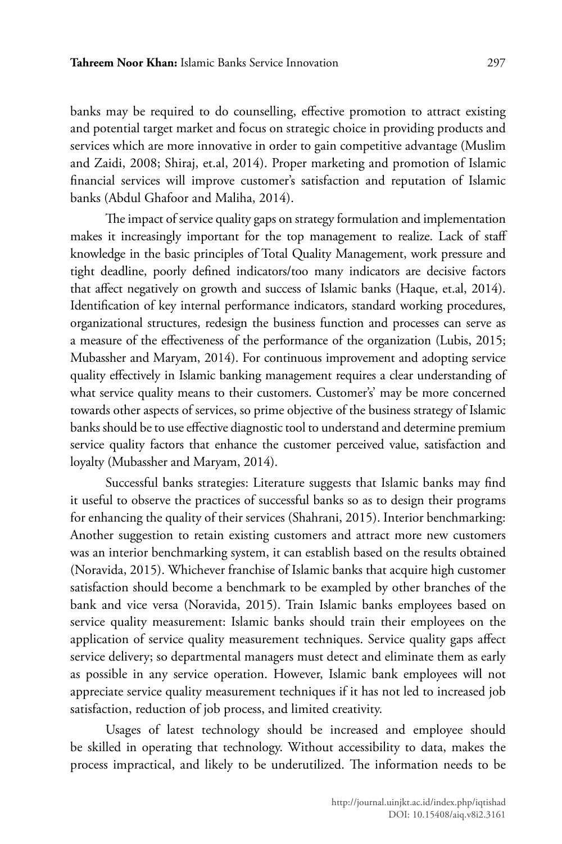banks may be required to do counselling, effective promotion to attract existing and potential target market and focus on strategic choice in providing products and services which are more innovative in order to gain competitive advantage (Muslim and Zaidi, 2008; Shiraj, et.al, 2014). Proper marketing and promotion of Islamic financial services will improve customer's satisfaction and reputation of Islamic banks (Abdul Ghafoor and Maliha, 2014).

The impact of service quality gaps on strategy formulation and implementation makes it increasingly important for the top management to realize. Lack of staff knowledge in the basic principles of Total Quality Management, work pressure and tight deadline, poorly defined indicators/too many indicators are decisive factors that affect negatively on growth and success of Islamic banks (Haque, et.al, 2014). Identification of key internal performance indicators, standard working procedures, organizational structures, redesign the business function and processes can serve as a measure of the effectiveness of the performance of the organization (Lubis, 2015; Mubassher and Maryam, 2014). For continuous improvement and adopting service quality effectively in Islamic banking management requires a clear understanding of what service quality means to their customers. Customer's' may be more concerned towards other aspects of services, so prime objective of the business strategy of Islamic banks should be to use effective diagnostic tool to understand and determine premium service quality factors that enhance the customer perceived value, satisfaction and loyalty (Mubassher and Maryam, 2014).

Successful banks strategies: Literature suggests that Islamic banks may find it useful to observe the practices of successful banks so as to design their programs for enhancing the quality of their services (Shahrani, 2015). Interior benchmarking: Another suggestion to retain existing customers and attract more new customers was an interior benchmarking system, it can establish based on the results obtained (Noravida, 2015). Whichever franchise of Islamic banks that acquire high customer satisfaction should become a benchmark to be exampled by other branches of the bank and vice versa (Noravida, 2015). Train Islamic banks employees based on service quality measurement: Islamic banks should train their employees on the application of service quality measurement techniques. Service quality gaps affect service delivery; so departmental managers must detect and eliminate them as early as possible in any service operation. However, Islamic bank employees will not appreciate service quality measurement techniques if it has not led to increased job satisfaction, reduction of job process, and limited creativity.

Usages of latest technology should be increased and employee should be skilled in operating that technology. Without accessibility to data, makes the process impractical, and likely to be underutilized. The information needs to be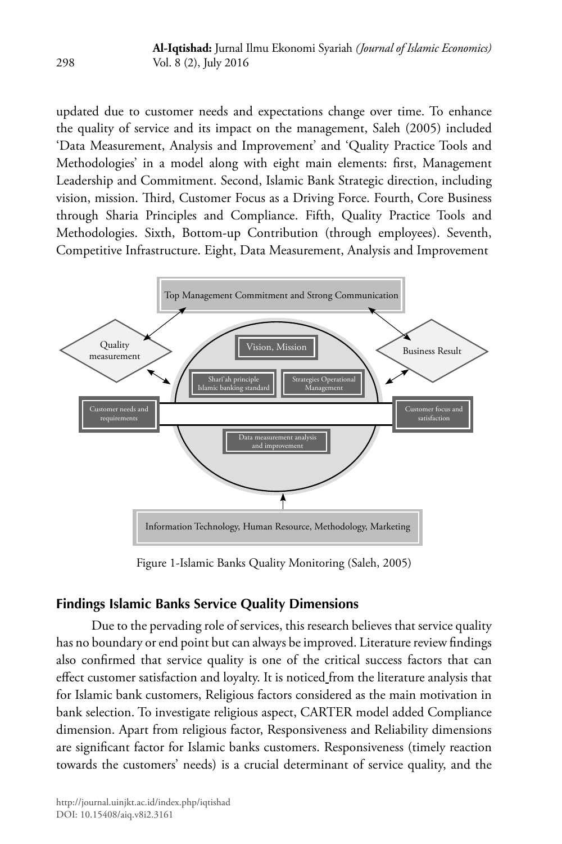updated due to customer needs and expectations change over time. To enhance the quality of service and its impact on the management, Saleh (2005) included 'Data Measurement, Analysis and Improvement' and 'Quality Practice Tools and Methodologies' in a model along with eight main elements: first, Management Leadership and Commitment. Second, Islamic Bank Strategic direction, including vision, mission. Third, Customer Focus as a Driving Force. Fourth, Core Business through Sharia Principles and Compliance. Fifth, Quality Practice Tools and Methodologies. Sixth, Bottom-up Contribution (through employees). Seventh, Competitive Infrastructure. Eight, Data Measurement, Analysis and Improvement



Figure 1-Islamic Banks Quality Monitoring (Saleh, 2005)

# **Findings Islamic Banks Service Quality Dimensions**

Due to the pervading role of services, this research believes that service quality has no boundary or end point but can always be improved. Literature review findings also confirmed that service quality is one of the critical success factors that can effect customer satisfaction and loyalty. It is noticed from the literature analysis that for Islamic bank customers, Religious factors considered as the main motivation in bank selection. To investigate religious aspect, CARTER model added Compliance dimension. Apart from religious factor, Responsiveness and Reliability dimensions are significant factor for Islamic banks customers. Responsiveness (timely reaction towards the customers' needs) is a crucial determinant of service quality, and the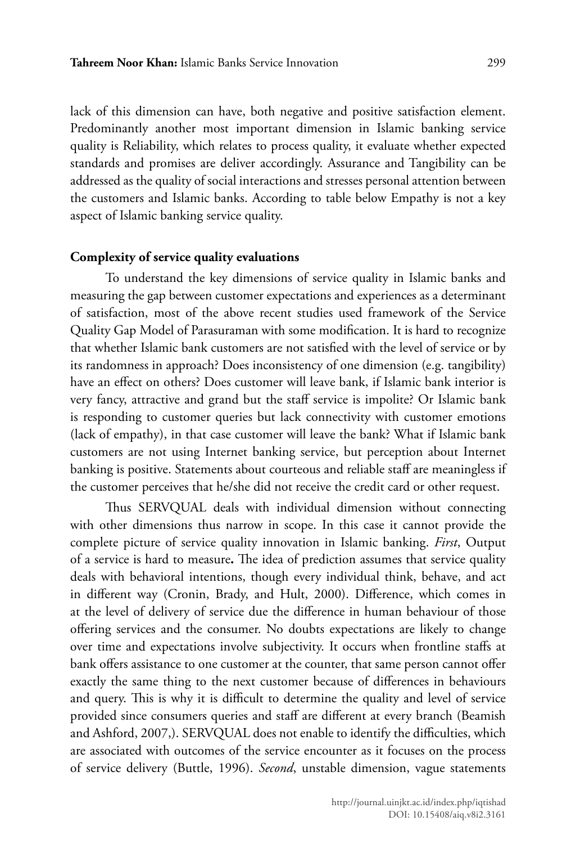lack of this dimension can have, both negative and positive satisfaction element. Predominantly another most important dimension in Islamic banking service quality is Reliability, which relates to process quality, it evaluate whether expected standards and promises are deliver accordingly. Assurance and Tangibility can be addressed as the quality of social interactions and stresses personal attention between the customers and Islamic banks. According to table below Empathy is not a key aspect of Islamic banking service quality.

### **Complexity of service quality evaluations**

To understand the key dimensions of service quality in Islamic banks and measuring the gap between customer expectations and experiences as a determinant of satisfaction, most of the above recent studies used framework of the Service Quality Gap Model of Parasuraman with some modification. It is hard to recognize that whether Islamic bank customers are not satisfied with the level of service or by its randomness in approach? Does inconsistency of one dimension (e.g. tangibility) have an effect on others? Does customer will leave bank, if Islamic bank interior is very fancy, attractive and grand but the staff service is impolite? Or Islamic bank is responding to customer queries but lack connectivity with customer emotions (lack of empathy), in that case customer will leave the bank? What if Islamic bank customers are not using Internet banking service, but perception about Internet banking is positive. Statements about courteous and reliable staff are meaningless if the customer perceives that he/she did not receive the credit card or other request.

Thus SERVQUAL deals with individual dimension without connecting with other dimensions thus narrow in scope. In this case it cannot provide the complete picture of service quality innovation in Islamic banking. *First*, Output of a service is hard to measure**.** The idea of prediction assumes that service quality deals with behavioral intentions, though every individual think, behave, and act in different way (Cronin, Brady, and Hult, 2000). Difference, which comes in at the level of delivery of service due the difference in human behaviour of those offering services and the consumer. No doubts expectations are likely to change over time and expectations involve subjectivity. It occurs when frontline staffs at bank offers assistance to one customer at the counter, that same person cannot offer exactly the same thing to the next customer because of differences in behaviours and query. This is why it is difficult to determine the quality and level of service provided since consumers queries and staff are different at every branch (Beamish and Ashford, 2007,). SERVQUAL does not enable to identify the difficulties, which are associated with outcomes of the service encounter as it focuses on the process of service delivery (Buttle, 1996). *Second*, unstable dimension, vague statements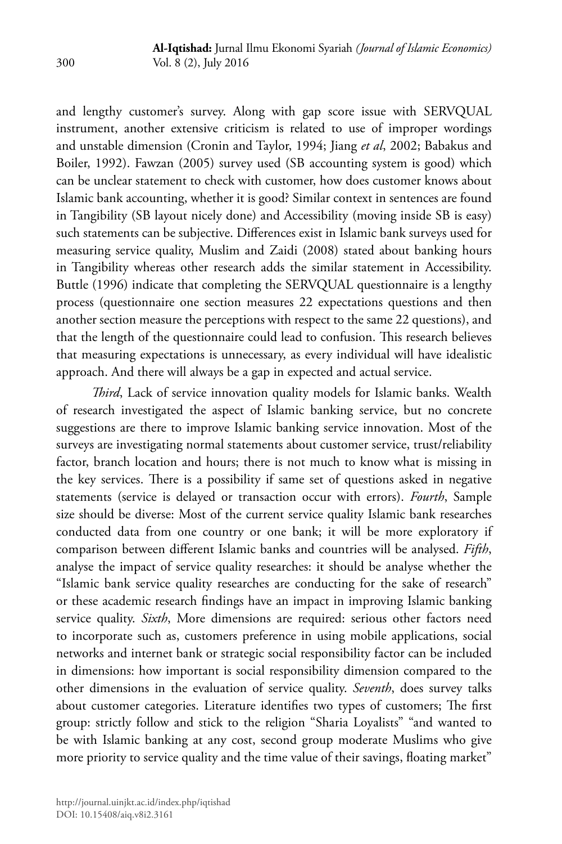and lengthy customer's survey. Along with gap score issue with SERVQUAL instrument, another extensive criticism is related to use of improper wordings and unstable dimension (Cronin and Taylor, 1994; Jiang *et al*, 2002; Babakus and Boiler, 1992). Fawzan (2005) survey used (SB accounting system is good) which can be unclear statement to check with customer, how does customer knows about Islamic bank accounting, whether it is good? Similar context in sentences are found in Tangibility (SB layout nicely done) and Accessibility (moving inside SB is easy) such statements can be subjective. Differences exist in Islamic bank surveys used for measuring service quality, Muslim and Zaidi (2008) stated about banking hours in Tangibility whereas other research adds the similar statement in Accessibility. Buttle (1996) indicate that completing the SERVQUAL questionnaire is a lengthy process (questionnaire one section measures 22 expectations questions and then another section measure the perceptions with respect to the same 22 questions), and that the length of the questionnaire could lead to confusion. This research believes that measuring expectations is unnecessary, as every individual will have idealistic approach. And there will always be a gap in expected and actual service.

*Third*, Lack of service innovation quality models for Islamic banks. Wealth of research investigated the aspect of Islamic banking service, but no concrete suggestions are there to improve Islamic banking service innovation. Most of the surveys are investigating normal statements about customer service, trust/reliability factor, branch location and hours; there is not much to know what is missing in the key services. There is a possibility if same set of questions asked in negative statements (service is delayed or transaction occur with errors). *Fourth*, Sample size should be diverse: Most of the current service quality Islamic bank researches conducted data from one country or one bank; it will be more exploratory if comparison between different Islamic banks and countries will be analysed. *Fifth*, analyse the impact of service quality researches: it should be analyse whether the "Islamic bank service quality researches are conducting for the sake of research" or these academic research findings have an impact in improving Islamic banking service quality. *Sixth*, More dimensions are required: serious other factors need to incorporate such as, customers preference in using mobile applications, social networks and internet bank or strategic social responsibility factor can be included in dimensions: how important is social responsibility dimension compared to the other dimensions in the evaluation of service quality. *Seventh*, does survey talks about customer categories. Literature identifies two types of customers; The first group: strictly follow and stick to the religion "Sharia Loyalists" "and wanted to be with Islamic banking at any cost, second group moderate Muslims who give more priority to service quality and the time value of their savings, floating market"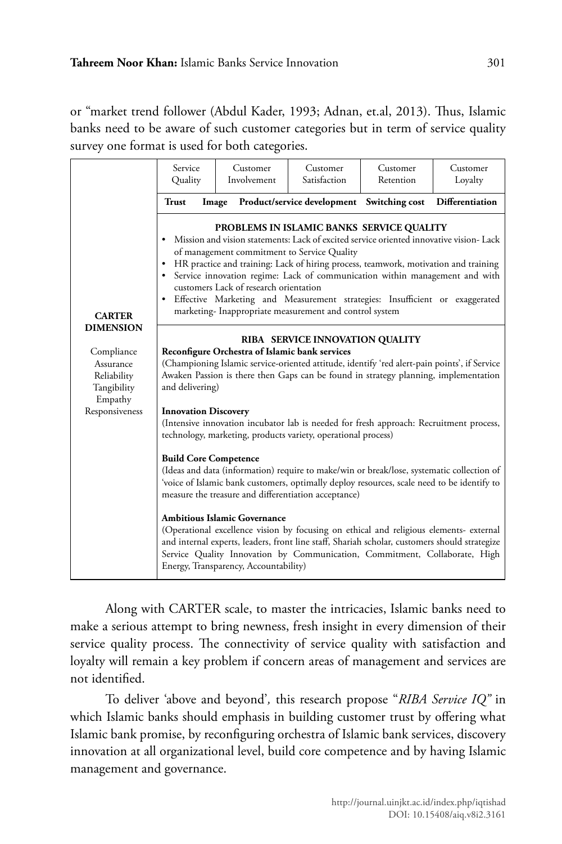or "market trend follower (Abdul Kader, 1993; Adnan, et.al, 2013). Thus, Islamic banks need to be aware of such customer categories but in term of service quality survey one format is used for both categories.

|                                                                                                       | Service<br>Quality                                                                                                                                                                                                                                                                                                                                                                                                                                                                                                                                | Customer<br>Involvement | Customer<br>Satisfaction                                                                                                                                | Customer<br>Retention | Customer<br>Loyalty |
|-------------------------------------------------------------------------------------------------------|---------------------------------------------------------------------------------------------------------------------------------------------------------------------------------------------------------------------------------------------------------------------------------------------------------------------------------------------------------------------------------------------------------------------------------------------------------------------------------------------------------------------------------------------------|-------------------------|---------------------------------------------------------------------------------------------------------------------------------------------------------|-----------------------|---------------------|
| <b>CARTER</b><br><b>DIMENSION</b><br>Compliance<br>Assurance<br>Reliability<br>Tangibility<br>Empathy | <b>Trust</b>                                                                                                                                                                                                                                                                                                                                                                                                                                                                                                                                      | Image                   | Product/service development Switching cost                                                                                                              |                       | Differentiation     |
|                                                                                                       | PROBLEMS IN ISLAMIC BANKS SERVICE QUALITY<br>• Mission and vision statements: Lack of excited service oriented innovative vision-Lack<br>of management commitment to Service Quality<br>• HR practice and training: Lack of hiring process, teamwork, motivation and training<br>Service innovation regime: Lack of communication within management and with<br>customers Lack of research orientation<br>• Effective Marketing and Measurement strategies: Insufficient or exaggerated<br>marketing-Inappropriate measurement and control system |                         |                                                                                                                                                         |                       |                     |
|                                                                                                       | RIBA SERVICE INNOVATION QUALITY<br>Reconfigure Orchestra of Islamic bank services<br>(Championing Islamic service-oriented attitude, identify 'red alert-pain points', if Service<br>Awaken Passion is there then Gaps can be found in strategy planning, implementation<br>and delivering)                                                                                                                                                                                                                                                       |                         |                                                                                                                                                         |                       |                     |
| Responsiveness                                                                                        | <b>Innovation Discovery</b>                                                                                                                                                                                                                                                                                                                                                                                                                                                                                                                       |                         | (Intensive innovation incubator lab is needed for fresh approach: Recruitment process,<br>technology, marketing, products variety, operational process) |                       |                     |
|                                                                                                       | <b>Build Core Competence</b><br>(Ideas and data (information) require to make/win or break/lose, systematic collection of<br>'voice of Islamic bank customers, optimally deploy resources, scale need to be identify to<br>measure the treasure and differentiation acceptance)                                                                                                                                                                                                                                                                   |                         |                                                                                                                                                         |                       |                     |
|                                                                                                       | <b>Ambitious Islamic Governance</b><br>(Operational excellence vision by focusing on ethical and religious elements- external<br>and internal experts, leaders, front line staff, Shariah scholar, customers should strategize<br>Service Quality Innovation by Communication, Commitment, Collaborate, High<br>Energy, Transparency, Accountability)                                                                                                                                                                                             |                         |                                                                                                                                                         |                       |                     |

Along with CARTER scale, to master the intricacies, Islamic banks need to make a serious attempt to bring newness, fresh insight in every dimension of their service quality process. The connectivity of service quality with satisfaction and loyalty will remain a key problem if concern areas of management and services are not identified.

To deliver 'above and beyond'*,* this research propose "*RIBA Service IQ"* in which Islamic banks should emphasis in building customer trust by offering what Islamic bank promise, by reconfiguring orchestra of Islamic bank services, discovery innovation at all organizational level, build core competence and by having Islamic management and governance.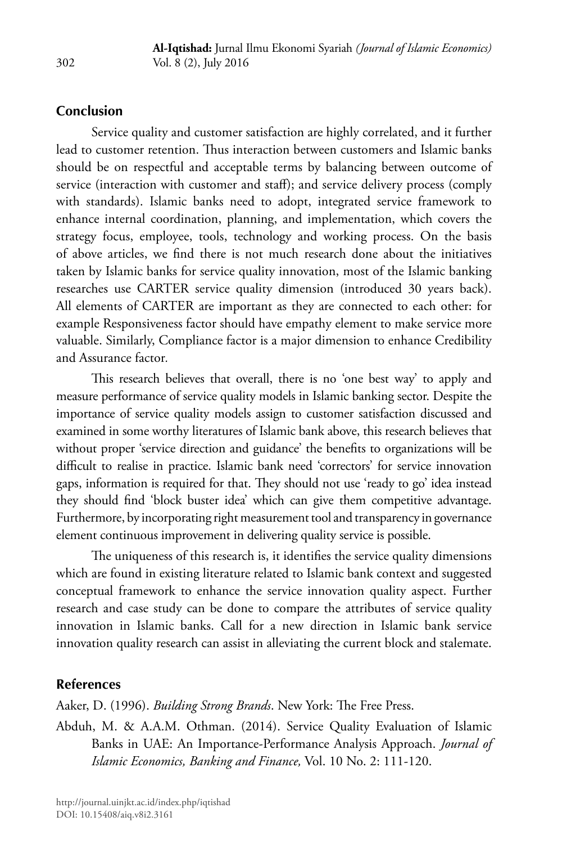### **Conclusion**

Service quality and customer satisfaction are highly correlated, and it further lead to customer retention. Thus interaction between customers and Islamic banks should be on respectful and acceptable terms by balancing between outcome of service (interaction with customer and staff); and service delivery process (comply with standards). Islamic banks need to adopt, integrated service framework to enhance internal coordination, planning, and implementation, which covers the strategy focus, employee, tools, technology and working process. On the basis of above articles, we find there is not much research done about the initiatives taken by Islamic banks for service quality innovation, most of the Islamic banking researches use CARTER service quality dimension (introduced 30 years back). All elements of CARTER are important as they are connected to each other: for example Responsiveness factor should have empathy element to make service more valuable. Similarly, Compliance factor is a major dimension to enhance Credibility and Assurance factor*.*

This research believes that overall, there is no 'one best way' to apply and measure performance of service quality models in Islamic banking sector. Despite the importance of service quality models assign to customer satisfaction discussed and examined in some worthy literatures of Islamic bank above, this research believes that without proper 'service direction and guidance' the benefits to organizations will be difficult to realise in practice. Islamic bank need 'correctors' for service innovation gaps, information is required for that. They should not use 'ready to go' idea instead they should find 'block buster idea' which can give them competitive advantage. Furthermore, by incorporating right measurement tool and transparency in governance element continuous improvement in delivering quality service is possible.

The uniqueness of this research is, it identifies the service quality dimensions which are found in existing literature related to Islamic bank context and suggested conceptual framework to enhance the service innovation quality aspect. Further research and case study can be done to compare the attributes of service quality innovation in Islamic banks. Call for a new direction in Islamic bank service innovation quality research can assist in alleviating the current block and stalemate.

### **References**

Aaker, D. (1996). *Building Strong Brands*. New York: The Free Press.

Abduh, M. & A.A.M. Othman. (2014). Service Quality Evaluation of Islamic Banks in UAE: An Importance-Performance Analysis Approach. *Journal of Islamic Economics, Banking and Finance,* Vol. 10 No. 2: 111-120.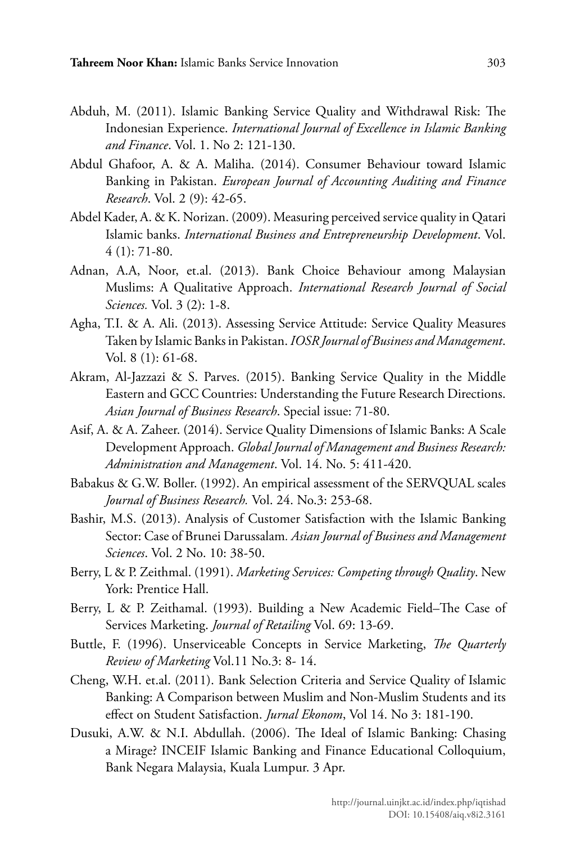- Abduh, M. (2011). Islamic Banking Service Quality and Withdrawal Risk: The Indonesian Experience. *International Journal of Excellence in Islamic Banking and Finance*. Vol. 1. No 2: 121-130.
- Abdul Ghafoor, A. & A. Maliha. (2014). Consumer Behaviour toward Islamic Banking in Pakistan. *European Journal of Accounting Auditing and Finance Research*. Vol. 2 (9): 42-65.
- Abdel Kader, A. & K. Norizan. (2009). Measuring perceived service quality in Qatari Islamic banks. *International Business and Entrepreneurship Development*. Vol. 4 (1): 71-80.
- Adnan, A.A, Noor, et.al. (2013). Bank Choice Behaviour among Malaysian Muslims: A Qualitative Approach. *International Research Journal of Social Sciences.* Vol. 3 (2): 1-8.
- Agha, T.I. & A. Ali. (2013). Assessing Service Attitude: Service Quality Measures Taken by Islamic Banks in Pakistan. *IOSR Journal of Business and Management*. Vol. 8 (1): 61-68.
- Akram, Al-Jazzazi & S. Parves. (2015). Banking Service Quality in the Middle Eastern and GCC Countries: Understanding the Future Research Directions. *Asian Journal of Business Research*. Special issue: 71-80.
- Asif, A. & A. Zaheer. (2014). Service Quality Dimensions of Islamic Banks: A Scale Development Approach. *Global Journal of Management and Business Research: Administration and Management*. Vol. 14. No. 5: 411-420.
- Babakus & G.W. Boller. (1992). An empirical assessment of the SERVQUAL scales *Journal of Business Research.* Vol. 24. No.3: 253-68.
- Bashir, M.S. (2013). Analysis of Customer Satisfaction with the Islamic Banking Sector: Case of Brunei Darussalam*. Asian Journal of Business and Management Sciences*. Vol. 2 No. 10: 38-50.
- Berry, L & P. Zeithmal. (1991). *Marketing Services: Competing through Quality*. New York: Prentice Hall.
- Berry, L & P. Zeithamal. (1993). Building a New Academic Field–The Case of Services Marketing. *Journal of Retailing* Vol. 69: 13-69.
- Buttle, F. (1996). Unserviceable Concepts in Service Marketing, *The Quarterly Review of Marketing* Vol.11 No.3: 8- 14.
- Cheng, W.H. et.al. (2011). Bank Selection Criteria and Service Quality of Islamic Banking: A Comparison between Muslim and Non-Muslim Students and its effect on Student Satisfaction. *Jurnal Ekonom*, Vol 14. No 3: 181-190.
- Dusuki, A.W. & N.I. Abdullah. (2006). The Ideal of Islamic Banking: Chasing a Mirage? INCEIF Islamic Banking and Finance Educational Colloquium, Bank Negara Malaysia, Kuala Lumpur. 3 Apr.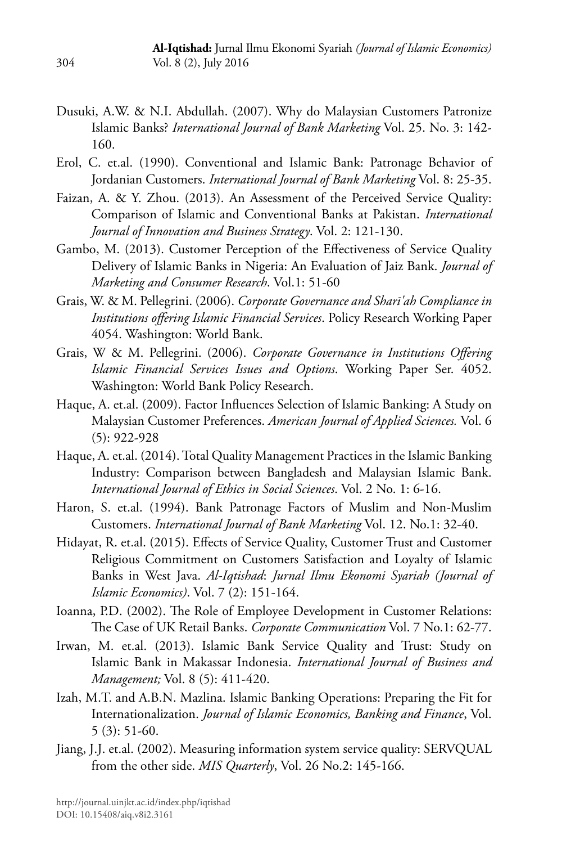- Dusuki, A.W. & N.I. Abdullah. (2007). Why do Malaysian Customers Patronize Islamic Banks? *International Journal of Bank Marketing* Vol. 25. No. 3: 142- 160.
- Erol, C. et.al. (1990). Conventional and Islamic Bank: Patronage Behavior of Jordanian Customers. *International Journal of Bank Marketing* Vol. 8: 25-35.
- Faizan, A. & Y. Zhou. (2013). An Assessment of the Perceived Service Quality: Comparison of Islamic and Conventional Banks at Pakistan. *International Journal of Innovation and Business Strategy*. Vol. 2: 121-130.
- Gambo, M. (2013). Customer Perception of the Effectiveness of Service Quality Delivery of Islamic Banks in Nigeria: An Evaluation of Jaiz Bank. *Journal of Marketing and Consumer Research*. Vol.1: 51-60
- Grais, W. & M. Pellegrini. (2006). *Corporate Governance and Sharī'ah Compliance in Institutions offering Islamic Financial Services*. Policy Research Working Paper 4054. Washington: World Bank.
- Grais, W & M. Pellegrini. (2006). *Corporate Governance in Institutions Offering Islamic Financial Services Issues and Options*. Working Paper Ser. 4052. Washington: World Bank Policy Research.
- Haque, A. et.al. (2009). Factor Influences Selection of Islamic Banking: A Study on Malaysian Customer Preferences. *American Journal of Applied Sciences.* Vol. 6 (5): 922-928
- Haque, A. et.al. (2014). Total Quality Management Practices in the Islamic Banking Industry: Comparison between Bangladesh and Malaysian Islamic Bank. *International Journal of Ethics in Social Sciences*. Vol. 2 No. 1: 6-16.
- Haron, S. et.al. (1994). Bank Patronage Factors of Muslim and Non-Muslim Customers. *International Journal of Bank Marketing* Vol. 12. No.1: 32-40.
- Hidayat, R. et.al. (2015). Effects of Service Quality, Customer Trust and Customer Religious Commitment on Customers Satisfaction and Loyalty of Islamic Banks in West Java. *Al-Iqtishad*: *Jurnal Ilmu Ekonomi Syariah (Journal of Islamic Economics)*. Vol. 7 (2): 151-164.
- Ioanna, P.D. (2002). The Role of Employee Development in Customer Relations: The Case of UK Retail Banks. *Corporate Communication* Vol. 7 No.1: 62-77.
- Irwan, M. et.al. (2013). Islamic Bank Service Quality and Trust: Study on Islamic Bank in Makassar Indonesia. *International Journal of Business and Management;* Vol. 8 (5): 411-420.
- Izah, M.T. and A.B.N. Mazlina. Islamic Banking Operations: Preparing the Fit for Internationalization. *Journal of Islamic Economics, Banking and Finance*, Vol. 5 (3): 51-60.
- Jiang, J.J. et.al. (2002). Measuring information system service quality: SERVQUAL from the other side. *MIS Quarterly*, Vol. 26 No.2: 145-166.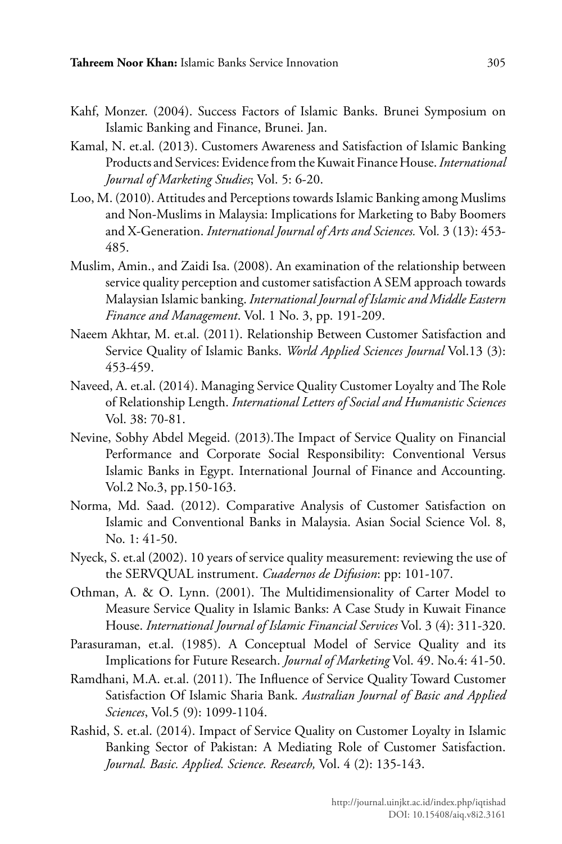- Kahf, Monzer. (2004). Success Factors of Islamic Banks. Brunei Symposium on Islamic Banking and Finance, Brunei. Jan.
- Kamal, N. et.al. (2013). Customers Awareness and Satisfaction of Islamic Banking Products and Services: Evidence from the Kuwait Finance House. *International Journal of Marketing Studies*; Vol. 5: 6-20.
- Loo, M. (2010). Attitudes and Perceptions towards Islamic Banking among Muslims and Non-Muslims in Malaysia: Implications for Marketing to Baby Boomers and X-Generation. *International Journal of Arts and Sciences.* Vol*.* 3 (13): 453- 485.
- Muslim, Amin., and Zaidi Isa. (2008). An examination of the relationship between service quality perception and customer satisfaction A SEM approach towards Malaysian Islamic banking. *International Journal of Islamic and Middle Eastern Finance and Management*. Vol. 1 No. 3, pp. 191-209.
- Naeem Akhtar, M. et.al. (2011). Relationship Between Customer Satisfaction and Service Quality of Islamic Banks. *World Applied Sciences Journal* Vol.13 (3): 453-459.
- Naveed, A. et.al. (2014). Managing Service Quality Customer Loyalty and The Role of Relationship Length. *International Letters of Social and Humanistic Sciences* Vol. 38: 70-81.
- Nevine, Sobhy Abdel Megeid. (2013).The Impact of Service Quality on Financial Performance and Corporate Social Responsibility: Conventional Versus Islamic Banks in Egypt. International Journal of Finance and Accounting. Vol.2 No.3, pp.150-163.
- Norma, Md. Saad. (2012). Comparative Analysis of Customer Satisfaction on Islamic and Conventional Banks in Malaysia. Asian Social Science Vol. 8, No. 1: 41-50.
- Nyeck, S. et.al (2002). 10 years of service quality measurement: reviewing the use of the SERVQUAL instrument. *Cuadernos de Difusion*: pp: 101-107.
- Othman, A. & O. Lynn. (2001). The Multidimensionality of Carter Model to Measure Service Quality in Islamic Banks: A Case Study in Kuwait Finance House. *International Journal of Islamic Financial Services* Vol. 3 (4): 311-320.
- Parasuraman, et.al. (1985). A Conceptual Model of Service Quality and its Implications for Future Research. *Journal of Marketing* Vol. 49. No.4: 41-50.
- Ramdhani, M.A. et.al. (2011). The Influence of Service Quality Toward Customer Satisfaction Of Islamic Sharia Bank. *Australian Journal of Basic and Applied Sciences*, Vol.5 (9): 1099-1104.
- Rashid, S. et.al. (2014). Impact of Service Quality on Customer Loyalty in Islamic Banking Sector of Pakistan: A Mediating Role of Customer Satisfaction. *Journal. Basic. Applied. Science. Research,* Vol. 4 (2): 135-143.